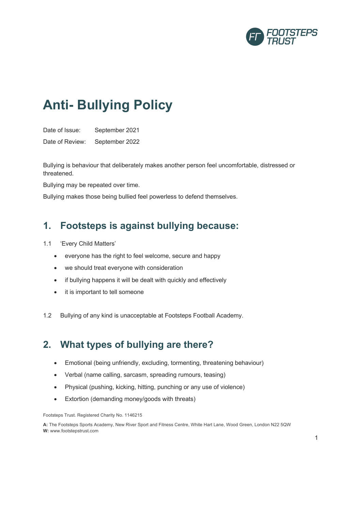

# **Anti- Bullying Policy**

Date of Issue: September 2021

Date of Review: September 2022

Bullying is behaviour that deliberately makes another person feel uncomfortable, distressed or threatened.

Bullying may be repeated over time.

Bullying makes those being bullied feel powerless to defend themselves.

#### **1. Footsteps is against bullying because:**

- 1.1 'Every Child Matters'
	- everyone has the right to feel welcome, secure and happy
	- we should treat everyone with consideration
	- if bullying happens it will be dealt with quickly and effectively
	- it is important to tell someone
- 1.2 Bullying of any kind is unacceptable at Footsteps Football Academy.

#### **2. What types of bullying are there?**

- Emotional (being unfriendly, excluding, tormenting, threatening behaviour)
- Verbal (name calling, sarcasm, spreading rumours, teasing)
- Physical (pushing, kicking, hitting, punching or any use of violence)
- Extortion (demanding money/goods with threats)

Footsteps Trust. Registered Charity No. 1146215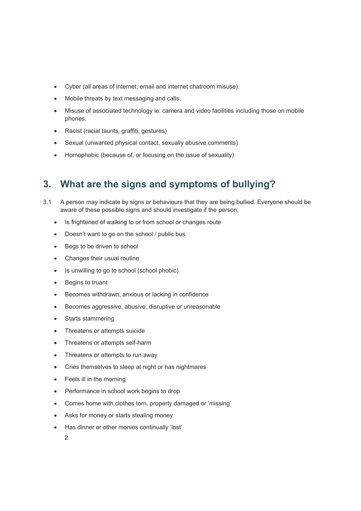- Cyber (all areas of internet, email and internet chatroom misuse).
- Mobile threats by text messaging and calls.
- Misuse of associated technology ie: camera and video facilities including those on mobile phones.
- Racist (racial taunts, graffiti, gestures)
- Sexual (unwanted physical contact, sexually abusive comments)
- Homophobic (because of, or focusing on the issue of sexuality)

### **3. What are the signs and symptoms of bullying?**

- 3.1 A person may indicate by signs or behaviours that they are being bullied. Everyone should be aware of these possible signs and should investigate if the person;
	- Is frightened of walking to or from school or changes route
	- Doesn't want to go on the school / public bus
	- Begs to be driven to school
	- Changes their usual routine
	- Is unwilling to go to school (school phobic)
	- Begins to truant
	- Becomes withdrawn, anxious or lacking in confidence
	- Becomes aggressive, abusive, disruptive or unreasonable
	- Starts stammering
	- Threatens or attempts suicide
	- Threatens or attempts self-harm
	- Threatens or attempts to run away
	- Cries themselves to sleep at night or has nightmares
	- Feels ill in the morning
	- Performance in school work begins to drop
	- Comes home with clothes torn, property damaged or 'missing'
	- Asks for money or starts stealing money
	- Has dinner or other monies continually 'lost'
		- 2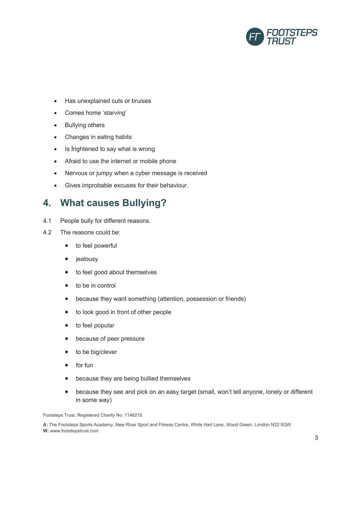

- Has unexplained cuts or bruises
- Comes home 'starving'
- Bullying others
- Changes in eating habits
- Is frightened to say what is wrong
- Afraid to use the internet or mobile phone
- Nervous or jumpy when a cyber message is received
- Gives improbable excuses for their behaviour.

#### **4. What causes Bullying?**

- 4.1 People bully for different reasons.
- 4.2 The reasons could be:
	- to feel powerful
	- jealousy
	- to feel good about themselves
	- to be in control
	- because they want something (attention, possession or friends)
	- to look good in front of other people
	- to feel popular
	- because of peer pressure
	- to be big/clever
	- for fun
	- because they are being bullied themselves
	- because they see and pick on an easy target (small, won't tell anyone, lonely or different in some way)

Footsteps Trust. Registered Charity No. 1146215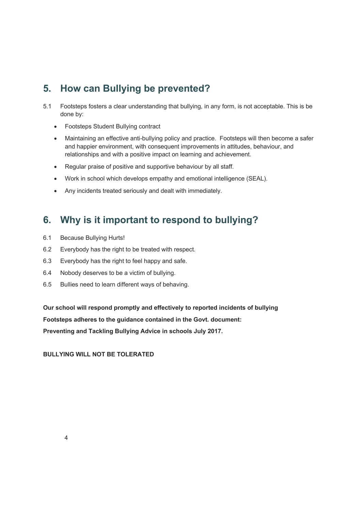# **5. How can Bullying be prevented?**

- 5.1 Footsteps fosters a clear understanding that bullying, in any form, is not acceptable. This is be done by:
	- Footsteps Student Bullying contract
	- Maintaining an effective anti-bullying policy and practice. Footsteps will then become a safer and happier environment, with consequent improvements in attitudes, behaviour, and relationships and with a positive impact on learning and achievement.
	- Regular praise of positive and supportive behaviour by all staff.
	- Work in school which develops empathy and emotional intelligence (SEAL).
	- Any incidents treated seriously and dealt with immediately.

#### **6. Why is it important to respond to bullying?**

- 6.1 Because Bullying Hurts!
- 6.2 Everybody has the right to be treated with respect.
- 6.3 Everybody has the right to feel happy and safe.
- 6.4 Nobody deserves to be a victim of bullying.
- 6.5 Bullies need to learn different ways of behaving.

**Our school will respond promptly and effectively to reported incidents of bullying Footsteps adheres to the guidance contained in the Govt. document: Preventing and Tackling Bullying Advice in schools July 2017.**

**BULLYING WILL NOT BE TOLERATED**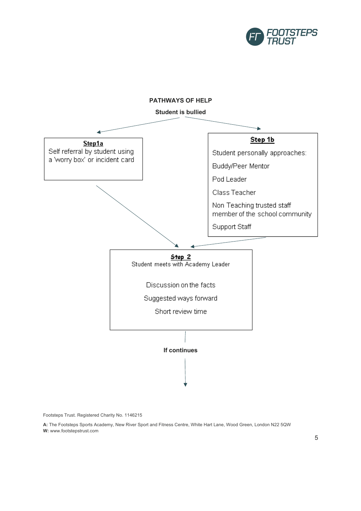



Footsteps Trust. Registered Charity No. 1146215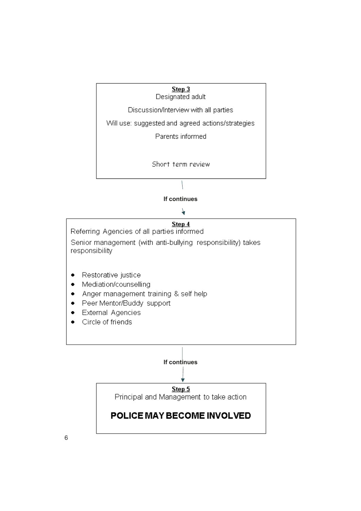

6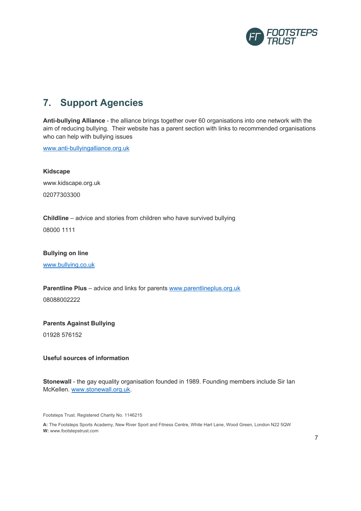

# **7. Support Agencies**

**Anti-bullying Alliance** - the alliance brings together over 60 organisations into one network with the aim of reducing bullying. Their website has a parent section with links to recommended organisations who can help with bullying issues

www.anti-bullyingalliance.org.uk

**Kidscape** www.kidscape.org.uk 02077303300

**Childline** – advice and stories from children who have survived bullying

08000 1111

**Bullying on line**

www.bullying.co.uk

Parentline Plus - advice and links for parents www.parentlineplus.org.uk 08088002222

**Parents Against Bullying** 01928 576152

#### **Useful sources of information**

**Stonewall** - the gay equality organisation founded in 1989. Founding members include Sir Ian McKellen. www.stonewall.org.uk.

Footsteps Trust. Registered Charity No. 1146215